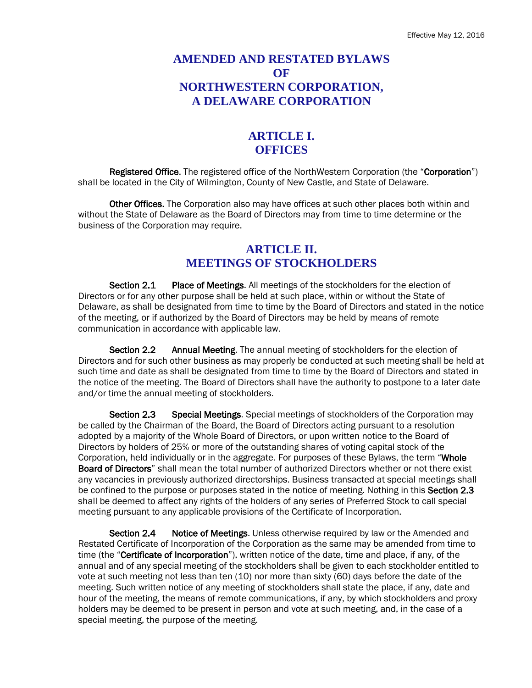#### **AMENDED AND RESTATED BYLAWS OF NORTHWESTERN CORPORATION, A DELAWARE CORPORATION**

#### **ARTICLE I. OFFICES**

Registered Office. The registered office of the NorthWestern Corporation (the "Corporation") shall be located in the City of Wilmington, County of New Castle, and State of Delaware.

Other Offices. The Corporation also may have offices at such other places both within and without the State of Delaware as the Board of Directors may from time to time determine or the business of the Corporation may require.

#### **ARTICLE II. MEETINGS OF STOCKHOLDERS**

Section 2.1 Place of Meetings. All meetings of the stockholders for the election of Directors or for any other purpose shall be held at such place, within or without the State of Delaware, as shall be designated from time to time by the Board of Directors and stated in the notice of the meeting, or if authorized by the Board of Directors may be held by means of remote communication in accordance with applicable law.

Section 2.2 Annual Meeting. The annual meeting of stockholders for the election of Directors and for such other business as may properly be conducted at such meeting shall be held at such time and date as shall be designated from time to time by the Board of Directors and stated in the notice of the meeting. The Board of Directors shall have the authority to postpone to a later date and/or time the annual meeting of stockholders.

Section 2.3 Special Meetings. Special meetings of stockholders of the Corporation may be called by the Chairman of the Board, the Board of Directors acting pursuant to a resolution adopted by a majority of the Whole Board of Directors, or upon written notice to the Board of Directors by holders of 25% or more of the outstanding shares of voting capital stock of the Corporation, held individually or in the aggregate. For purposes of these Bylaws, the term "Whole Board of Directors" shall mean the total number of authorized Directors whether or not there exist any vacancies in previously authorized directorships. Business transacted at special meetings shall be confined to the purpose or purposes stated in the notice of meeting. Nothing in this Section 2.3 shall be deemed to affect any rights of the holders of any series of Preferred Stock to call special meeting pursuant to any applicable provisions of the Certificate of Incorporation.

Section 2.4 Notice of Meetings. Unless otherwise required by law or the Amended and Restated Certificate of Incorporation of the Corporation as the same may be amended from time to time (the "Certificate of Incorporation"), written notice of the date, time and place, if any, of the annual and of any special meeting of the stockholders shall be given to each stockholder entitled to vote at such meeting not less than ten (10) nor more than sixty (60) days before the date of the meeting. Such written notice of any meeting of stockholders shall state the place, if any, date and hour of the meeting, the means of remote communications, if any, by which stockholders and proxy holders may be deemed to be present in person and vote at such meeting, and, in the case of a special meeting, the purpose of the meeting.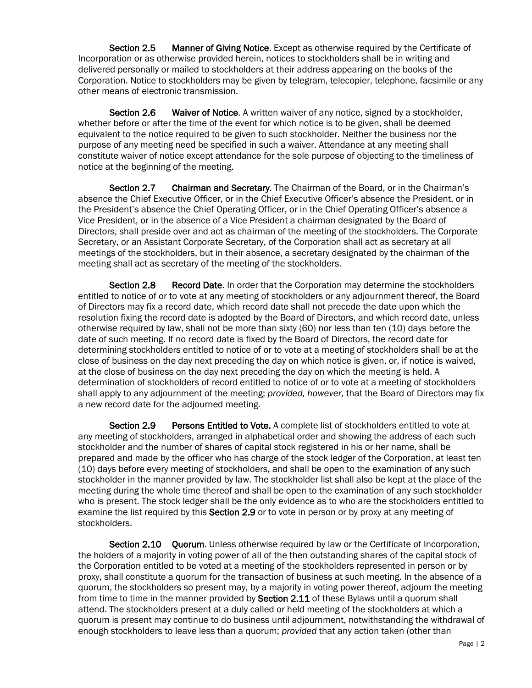Section 2.5 Manner of Giving Notice. Except as otherwise required by the Certificate of Incorporation or as otherwise provided herein, notices to stockholders shall be in writing and delivered personally or mailed to stockholders at their address appearing on the books of the Corporation. Notice to stockholders may be given by telegram, telecopier, telephone, facsimile or any other means of electronic transmission.

Section 2.6 Waiver of Notice. A written waiver of any notice, signed by a stockholder, whether before or after the time of the event for which notice is to be given, shall be deemed equivalent to the notice required to be given to such stockholder. Neither the business nor the purpose of any meeting need be specified in such a waiver. Attendance at any meeting shall constitute waiver of notice except attendance for the sole purpose of objecting to the timeliness of notice at the beginning of the meeting.

Section 2.7 Chairman and Secretary. The Chairman of the Board, or in the Chairman's absence the Chief Executive Officer, or in the Chief Executive Officer's absence the President, or in the President's absence the Chief Operating Officer, or in the Chief Operating Officer's absence a Vice President, or in the absence of a Vice President a chairman designated by the Board of Directors, shall preside over and act as chairman of the meeting of the stockholders. The Corporate Secretary, or an Assistant Corporate Secretary, of the Corporation shall act as secretary at all meetings of the stockholders, but in their absence, a secretary designated by the chairman of the meeting shall act as secretary of the meeting of the stockholders.

Section 2.8 Record Date. In order that the Corporation may determine the stockholders entitled to notice of or to vote at any meeting of stockholders or any adjournment thereof, the Board of Directors may fix a record date, which record date shall not precede the date upon which the resolution fixing the record date is adopted by the Board of Directors, and which record date, unless otherwise required by law, shall not be more than sixty (60) nor less than ten (10) days before the date of such meeting. If no record date is fixed by the Board of Directors, the record date for determining stockholders entitled to notice of or to vote at a meeting of stockholders shall be at the close of business on the day next preceding the day on which notice is given, or, if notice is waived, at the close of business on the day next preceding the day on which the meeting is held. A determination of stockholders of record entitled to notice of or to vote at a meeting of stockholders shall apply to any adjournment of the meeting; *provided, however,* that the Board of Directors may fix a new record date for the adjourned meeting.

Section 2.9 Persons Entitled to Vote. A complete list of stockholders entitled to vote at any meeting of stockholders, arranged in alphabetical order and showing the address of each such stockholder and the number of shares of capital stock registered in his or her name, shall be prepared and made by the officer who has charge of the stock ledger of the Corporation, at least ten (10) days before every meeting of stockholders, and shall be open to the examination of any such stockholder in the manner provided by law. The stockholder list shall also be kept at the place of the meeting during the whole time thereof and shall be open to the examination of any such stockholder who is present. The stock ledger shall be the only evidence as to who are the stockholders entitled to examine the list required by this Section 2.9 or to vote in person or by proxy at any meeting of stockholders.

Section 2.10 Quorum. Unless otherwise required by law or the Certificate of Incorporation, the holders of a majority in voting power of all of the then outstanding shares of the capital stock of the Corporation entitled to be voted at a meeting of the stockholders represented in person or by proxy, shall constitute a quorum for the transaction of business at such meeting. In the absence of a quorum, the stockholders so present may, by a majority in voting power thereof, adjourn the meeting from time to time in the manner provided by Section 2.11 of these Bylaws until a quorum shall attend. The stockholders present at a duly called or held meeting of the stockholders at which a quorum is present may continue to do business until adjournment, notwithstanding the withdrawal of enough stockholders to leave less than a quorum; *provided* that any action taken (other than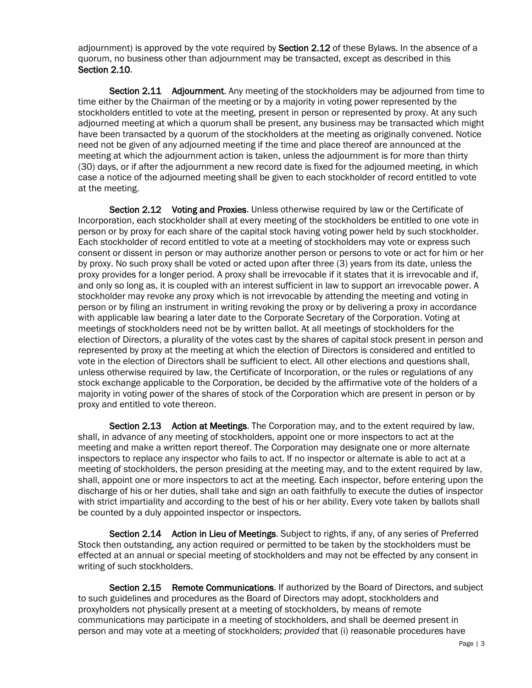adjournment) is approved by the vote required by **Section 2.12** of these Bylaws. In the absence of a quorum, no business other than adjournment may be transacted, except as described in this Section 2.10.

Section 2.11 Adjournment. Any meeting of the stockholders may be adjourned from time to time either by the Chairman of the meeting or by a majority in voting power represented by the stockholders entitled to vote at the meeting, present in person or represented by proxy. At any such adjourned meeting at which a quorum shall be present, any business may be transacted which might have been transacted by a quorum of the stockholders at the meeting as originally convened. Notice need not be given of any adjourned meeting if the time and place thereof are announced at the meeting at which the adjournment action is taken, unless the adjournment is for more than thirty (30) days, or if after the adjournment a new record date is fixed for the adjourned meeting, in which case a notice of the adjourned meeting shall be given to each stockholder of record entitled to vote at the meeting.

Section 2.12 Voting and Proxies. Unless otherwise required by law or the Certificate of Incorporation, each stockholder shall at every meeting of the stockholders be entitled to one vote in person or by proxy for each share of the capital stock having voting power held by such stockholder. Each stockholder of record entitled to vote at a meeting of stockholders may vote or express such consent or dissent in person or may authorize another person or persons to vote or act for him or her by proxy. No such proxy shall be voted or acted upon after three (3) years from its date, unless the proxy provides for a longer period. A proxy shall be irrevocable if it states that it is irrevocable and if, and only so long as, it is coupled with an interest sufficient in law to support an irrevocable power. A stockholder may revoke any proxy which is not irrevocable by attending the meeting and voting in person or by filing an instrument in writing revoking the proxy or by delivering a proxy in accordance with applicable law bearing a later date to the Corporate Secretary of the Corporation. Voting at meetings of stockholders need not be by written ballot. At all meetings of stockholders for the election of Directors, a plurality of the votes cast by the shares of capital stock present in person and represented by proxy at the meeting at which the election of Directors is considered and entitled to vote in the election of Directors shall be sufficient to elect. All other elections and questions shall, unless otherwise required by law, the Certificate of Incorporation, or the rules or regulations of any stock exchange applicable to the Corporation, be decided by the affirmative vote of the holders of a majority in voting power of the shares of stock of the Corporation which are present in person or by proxy and entitled to vote thereon.

Section 2.13 Action at Meetings. The Corporation may, and to the extent required by law, shall, in advance of any meeting of stockholders, appoint one or more inspectors to act at the meeting and make a written report thereof. The Corporation may designate one or more alternate inspectors to replace any inspector who fails to act. If no inspector or alternate is able to act at a meeting of stockholders, the person presiding at the meeting may, and to the extent required by law, shall, appoint one or more inspectors to act at the meeting. Each inspector, before entering upon the discharge of his or her duties, shall take and sign an oath faithfully to execute the duties of inspector with strict impartiality and according to the best of his or her ability. Every vote taken by ballots shall be counted by a duly appointed inspector or inspectors.

Section 2.14 Action in Lieu of Meetings. Subject to rights, if any, of any series of Preferred Stock then outstanding, any action required or permitted to be taken by the stockholders must be effected at an annual or special meeting of stockholders and may not be effected by any consent in writing of such stockholders.

Section 2.15 Remote Communications. If authorized by the Board of Directors, and subject to such guidelines and procedures as the Board of Directors may adopt, stockholders and proxyholders not physically present at a meeting of stockholders, by means of remote communications may participate in a meeting of stockholders, and shall be deemed present in person and may vote at a meeting of stockholders; *provided* that (i) reasonable procedures have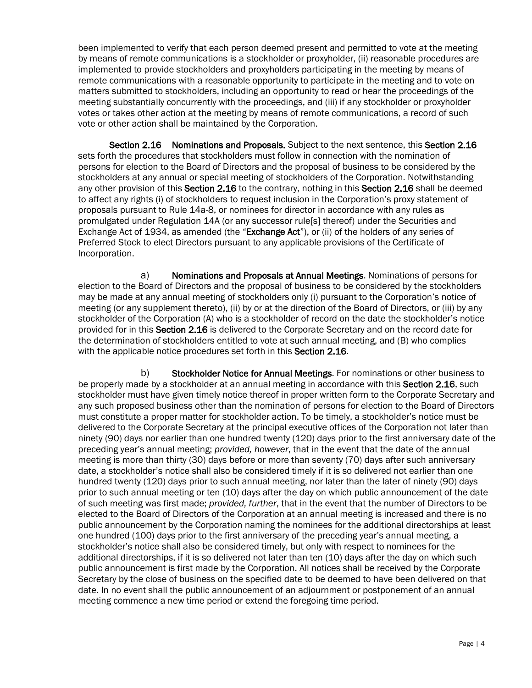been implemented to verify that each person deemed present and permitted to vote at the meeting by means of remote communications is a stockholder or proxyholder, (ii) reasonable procedures are implemented to provide stockholders and proxyholders participating in the meeting by means of remote communications with a reasonable opportunity to participate in the meeting and to vote on matters submitted to stockholders, including an opportunity to read or hear the proceedings of the meeting substantially concurrently with the proceedings, and (iii) if any stockholder or proxyholder votes or takes other action at the meeting by means of remote communications, a record of such vote or other action shall be maintained by the Corporation.

Section 2.16 Nominations and Proposals. Subject to the next sentence, this Section 2.16 sets forth the procedures that stockholders must follow in connection with the nomination of persons for election to the Board of Directors and the proposal of business to be considered by the stockholders at any annual or special meeting of stockholders of the Corporation. Notwithstanding any other provision of this Section 2.16 to the contrary, nothing in this Section 2.16 shall be deemed to affect any rights (i) of stockholders to request inclusion in the Corporation's proxy statement of proposals pursuant to Rule 14a-8, or nominees for director in accordance with any rules as promulgated under Regulation 14A (or any successor rule[s] thereof) under the Securities and Exchange Act of 1934, as amended (the "Exchange Act"), or (ii) of the holders of any series of Preferred Stock to elect Directors pursuant to any applicable provisions of the Certificate of Incorporation.

a) Nominations and Proposals at Annual Meetings. Nominations of persons for election to the Board of Directors and the proposal of business to be considered by the stockholders may be made at any annual meeting of stockholders only (i) pursuant to the Corporation's notice of meeting (or any supplement thereto), (ii) by or at the direction of the Board of Directors, or (iii) by any stockholder of the Corporation (A) who is a stockholder of record on the date the stockholder's notice provided for in this Section 2.16 is delivered to the Corporate Secretary and on the record date for the determination of stockholders entitled to vote at such annual meeting, and (B) who complies with the applicable notice procedures set forth in this Section 2.16.

b) Stockholder Notice for Annual Meetings. For nominations or other business to be properly made by a stockholder at an annual meeting in accordance with this Section 2.16, such stockholder must have given timely notice thereof in proper written form to the Corporate Secretary and any such proposed business other than the nomination of persons for election to the Board of Directors must constitute a proper matter for stockholder action. To be timely, a stockholder's notice must be delivered to the Corporate Secretary at the principal executive offices of the Corporation not later than ninety (90) days nor earlier than one hundred twenty (120) days prior to the first anniversary date of the preceding year's annual meeting; *provided, however*, that in the event that the date of the annual meeting is more than thirty (30) days before or more than seventy (70) days after such anniversary date, a stockholder's notice shall also be considered timely if it is so delivered not earlier than one hundred twenty (120) days prior to such annual meeting, nor later than the later of ninety (90) days prior to such annual meeting or ten (10) days after the day on which public announcement of the date of such meeting was first made; *provided, further*, that in the event that the number of Directors to be elected to the Board of Directors of the Corporation at an annual meeting is increased and there is no public announcement by the Corporation naming the nominees for the additional directorships at least one hundred (100) days prior to the first anniversary of the preceding year's annual meeting, a stockholder's notice shall also be considered timely, but only with respect to nominees for the additional directorships, if it is so delivered not later than ten (10) days after the day on which such public announcement is first made by the Corporation. All notices shall be received by the Corporate Secretary by the close of business on the specified date to be deemed to have been delivered on that date. In no event shall the public announcement of an adjournment or postponement of an annual meeting commence a new time period or extend the foregoing time period.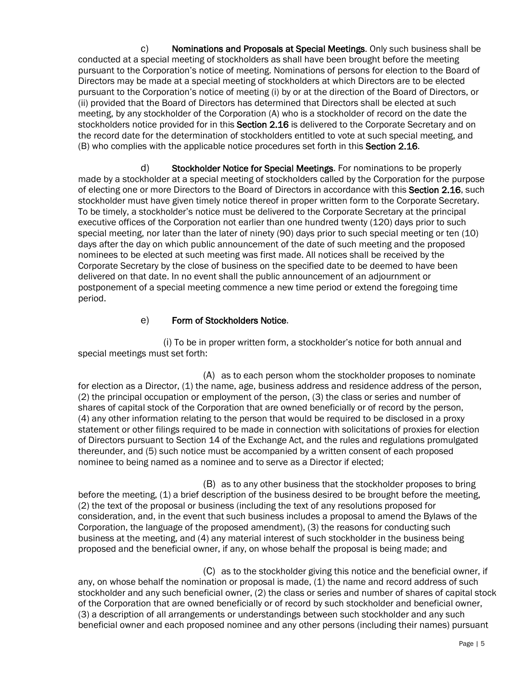c) Nominations and Proposals at Special Meetings. Only such business shall be conducted at a special meeting of stockholders as shall have been brought before the meeting pursuant to the Corporation's notice of meeting. Nominations of persons for election to the Board of Directors may be made at a special meeting of stockholders at which Directors are to be elected pursuant to the Corporation's notice of meeting (i) by or at the direction of the Board of Directors, or (ii) provided that the Board of Directors has determined that Directors shall be elected at such meeting, by any stockholder of the Corporation (A) who is a stockholder of record on the date the stockholders notice provided for in this Section 2.16 is delivered to the Corporate Secretary and on the record date for the determination of stockholders entitled to vote at such special meeting, and (B) who complies with the applicable notice procedures set forth in this Section 2.16.

d) Stockholder Notice for Special Meetings. For nominations to be properly made by a stockholder at a special meeting of stockholders called by the Corporation for the purpose of electing one or more Directors to the Board of Directors in accordance with this Section 2.16, such stockholder must have given timely notice thereof in proper written form to the Corporate Secretary. To be timely, a stockholder's notice must be delivered to the Corporate Secretary at the principal executive offices of the Corporation not earlier than one hundred twenty (120) days prior to such special meeting, nor later than the later of ninety (90) days prior to such special meeting or ten (10) days after the day on which public announcement of the date of such meeting and the proposed nominees to be elected at such meeting was first made. All notices shall be received by the Corporate Secretary by the close of business on the specified date to be deemed to have been delivered on that date. In no event shall the public announcement of an adjournment or postponement of a special meeting commence a new time period or extend the foregoing time period.

#### e) Form of Stockholders Notice.

(i) To be in proper written form, a stockholder's notice for both annual and special meetings must set forth:

(A) as to each person whom the stockholder proposes to nominate for election as a Director, (1) the name, age, business address and residence address of the person, (2) the principal occupation or employment of the person, (3) the class or series and number of shares of capital stock of the Corporation that are owned beneficially or of record by the person, (4) any other information relating to the person that would be required to be disclosed in a proxy statement or other filings required to be made in connection with solicitations of proxies for election of Directors pursuant to Section 14 of the Exchange Act, and the rules and regulations promulgated thereunder, and (5) such notice must be accompanied by a written consent of each proposed nominee to being named as a nominee and to serve as a Director if elected;

(B) as to any other business that the stockholder proposes to bring before the meeting, (1) a brief description of the business desired to be brought before the meeting, (2) the text of the proposal or business (including the text of any resolutions proposed for consideration, and, in the event that such business includes a proposal to amend the Bylaws of the Corporation, the language of the proposed amendment), (3) the reasons for conducting such business at the meeting, and (4) any material interest of such stockholder in the business being proposed and the beneficial owner, if any, on whose behalf the proposal is being made; and

(C) as to the stockholder giving this notice and the beneficial owner, if any, on whose behalf the nomination or proposal is made, (1) the name and record address of such stockholder and any such beneficial owner, (2) the class or series and number of shares of capital stock of the Corporation that are owned beneficially or of record by such stockholder and beneficial owner, (3) a description of all arrangements or understandings between such stockholder and any such beneficial owner and each proposed nominee and any other persons (including their names) pursuant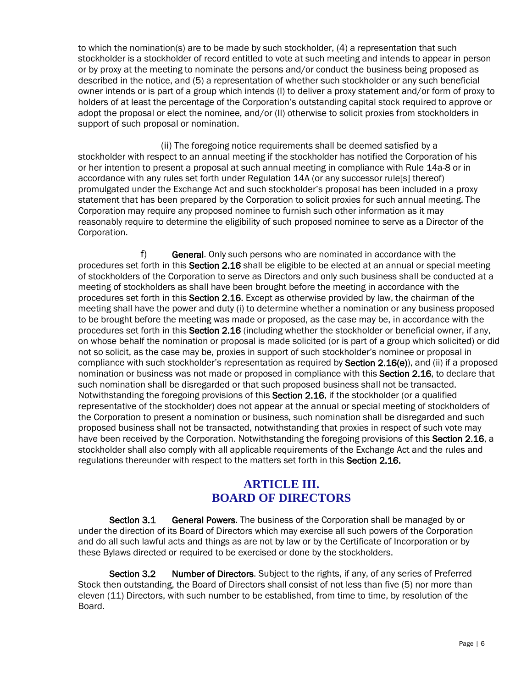to which the nomination(s) are to be made by such stockholder, (4) a representation that such stockholder is a stockholder of record entitled to vote at such meeting and intends to appear in person or by proxy at the meeting to nominate the persons and/or conduct the business being proposed as described in the notice, and (5) a representation of whether such stockholder or any such beneficial owner intends or is part of a group which intends (I) to deliver a proxy statement and/or form of proxy to holders of at least the percentage of the Corporation's outstanding capital stock required to approve or adopt the proposal or elect the nominee, and/or (II) otherwise to solicit proxies from stockholders in support of such proposal or nomination.

(ii) The foregoing notice requirements shall be deemed satisfied by a stockholder with respect to an annual meeting if the stockholder has notified the Corporation of his or her intention to present a proposal at such annual meeting in compliance with Rule 14a-8 or in accordance with any rules set forth under Regulation 14A (or any successor rule[s] thereof) promulgated under the Exchange Act and such stockholder's proposal has been included in a proxy statement that has been prepared by the Corporation to solicit proxies for such annual meeting. The Corporation may require any proposed nominee to furnish such other information as it may reasonably require to determine the eligibility of such proposed nominee to serve as a Director of the Corporation.

f) General. Only such persons who are nominated in accordance with the procedures set forth in this Section 2.16 shall be eligible to be elected at an annual or special meeting of stockholders of the Corporation to serve as Directors and only such business shall be conducted at a meeting of stockholders as shall have been brought before the meeting in accordance with the procedures set forth in this Section 2.16. Except as otherwise provided by law, the chairman of the meeting shall have the power and duty (i) to determine whether a nomination or any business proposed to be brought before the meeting was made or proposed, as the case may be, in accordance with the procedures set forth in this Section 2.16 (including whether the stockholder or beneficial owner, if any, on whose behalf the nomination or proposal is made solicited (or is part of a group which solicited) or did not so solicit, as the case may be, proxies in support of such stockholder's nominee or proposal in compliance with such stockholder's representation as required by **Section 2.16(e)**), and (ii) if a proposed nomination or business was not made or proposed in compliance with this Section 2.16, to declare that such nomination shall be disregarded or that such proposed business shall not be transacted. Notwithstanding the foregoing provisions of this Section 2.16, if the stockholder (or a qualified representative of the stockholder) does not appear at the annual or special meeting of stockholders of the Corporation to present a nomination or business, such nomination shall be disregarded and such proposed business shall not be transacted, notwithstanding that proxies in respect of such vote may have been received by the Corporation. Notwithstanding the foregoing provisions of this Section 2.16, a stockholder shall also comply with all applicable requirements of the Exchange Act and the rules and regulations thereunder with respect to the matters set forth in this Section 2.16.

## **ARTICLE III. BOARD OF DIRECTORS**

Section 3.1 General Powers. The business of the Corporation shall be managed by or under the direction of its Board of Directors which may exercise all such powers of the Corporation and do all such lawful acts and things as are not by law or by the Certificate of Incorporation or by these Bylaws directed or required to be exercised or done by the stockholders.

Section 3.2 Number of Directors. Subject to the rights, if any, of any series of Preferred Stock then outstanding, the Board of Directors shall consist of not less than five (5) nor more than eleven (11) Directors, with such number to be established, from time to time, by resolution of the Board.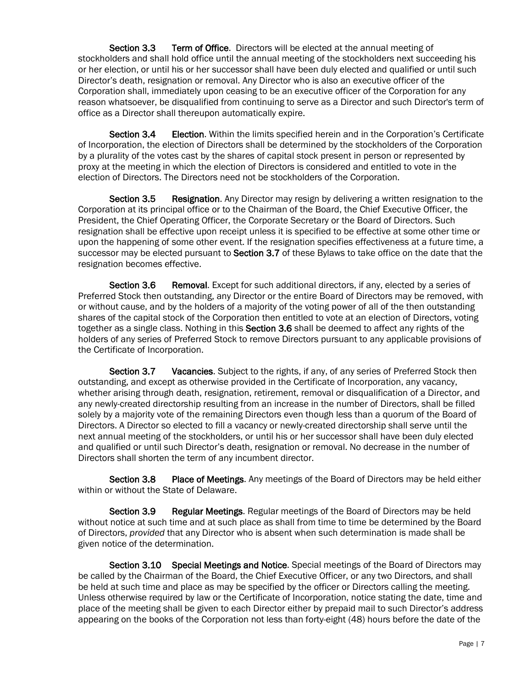Section 3.3 Term of Office. Directors will be elected at the annual meeting of stockholders and shall hold office until the annual meeting of the stockholders next succeeding his or her election, or until his or her successor shall have been duly elected and qualified or until such Director's death, resignation or removal. Any Director who is also an executive officer of the Corporation shall, immediately upon ceasing to be an executive officer of the Corporation for any reason whatsoever, be disqualified from continuing to serve as a Director and such Director's term of office as a Director shall thereupon automatically expire.

Section 3.4 Election. Within the limits specified herein and in the Corporation's Certificate of Incorporation, the election of Directors shall be determined by the stockholders of the Corporation by a plurality of the votes cast by the shares of capital stock present in person or represented by proxy at the meeting in which the election of Directors is considered and entitled to vote in the election of Directors. The Directors need not be stockholders of the Corporation.

Section 3.5 Resignation. Any Director may resign by delivering a written resignation to the Corporation at its principal office or to the Chairman of the Board, the Chief Executive Officer, the President, the Chief Operating Officer, the Corporate Secretary or the Board of Directors. Such resignation shall be effective upon receipt unless it is specified to be effective at some other time or upon the happening of some other event. If the resignation specifies effectiveness at a future time, a successor may be elected pursuant to Section 3.7 of these Bylaws to take office on the date that the resignation becomes effective.

Section 3.6 Removal. Except for such additional directors, if any, elected by a series of Preferred Stock then outstanding, any Director or the entire Board of Directors may be removed, with or without cause, and by the holders of a majority of the voting power of all of the then outstanding shares of the capital stock of the Corporation then entitled to vote at an election of Directors, voting together as a single class. Nothing in this Section 3.6 shall be deemed to affect any rights of the holders of any series of Preferred Stock to remove Directors pursuant to any applicable provisions of the Certificate of Incorporation.

Section 3.7 Vacancies. Subject to the rights, if any, of any series of Preferred Stock then outstanding, and except as otherwise provided in the Certificate of Incorporation, any vacancy, whether arising through death, resignation, retirement, removal or disqualification of a Director, and any newly-created directorship resulting from an increase in the number of Directors, shall be filled solely by a majority vote of the remaining Directors even though less than a quorum of the Board of Directors. A Director so elected to fill a vacancy or newly-created directorship shall serve until the next annual meeting of the stockholders, or until his or her successor shall have been duly elected and qualified or until such Director's death, resignation or removal. No decrease in the number of Directors shall shorten the term of any incumbent director.

Section 3.8 Place of Meetings. Any meetings of the Board of Directors may be held either within or without the State of Delaware.

Section 3.9 Regular Meetings. Regular meetings of the Board of Directors may be held without notice at such time and at such place as shall from time to time be determined by the Board of Directors, *provided* that any Director who is absent when such determination is made shall be given notice of the determination.

Section 3.10 Special Meetings and Notice. Special meetings of the Board of Directors may be called by the Chairman of the Board, the Chief Executive Officer, or any two Directors, and shall be held at such time and place as may be specified by the officer or Directors calling the meeting. Unless otherwise required by law or the Certificate of Incorporation, notice stating the date, time and place of the meeting shall be given to each Director either by prepaid mail to such Director's address appearing on the books of the Corporation not less than forty-eight (48) hours before the date of the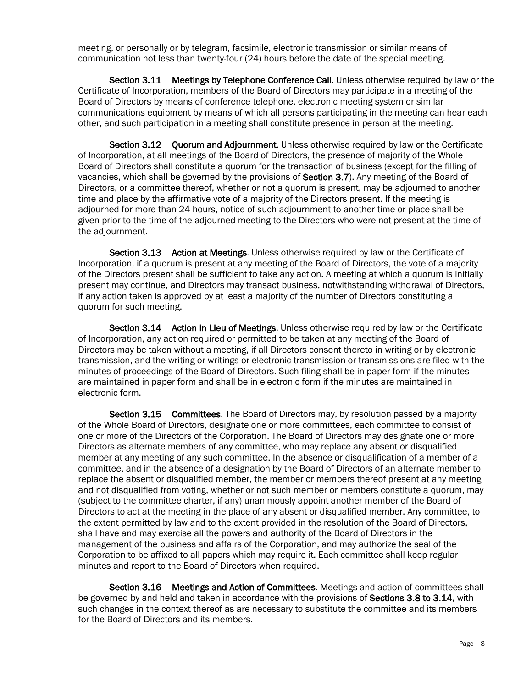meeting, or personally or by telegram, facsimile, electronic transmission or similar means of communication not less than twenty-four (24) hours before the date of the special meeting.

Section 3.11 Meetings by Telephone Conference Call. Unless otherwise required by law or the Certificate of Incorporation, members of the Board of Directors may participate in a meeting of the Board of Directors by means of conference telephone, electronic meeting system or similar communications equipment by means of which all persons participating in the meeting can hear each other, and such participation in a meeting shall constitute presence in person at the meeting.

Section 3.12 Ouorum and Adiournment. Unless otherwise required by law or the Certificate of Incorporation, at all meetings of the Board of Directors, the presence of majority of the Whole Board of Directors shall constitute a quorum for the transaction of business (except for the filling of vacancies, which shall be governed by the provisions of Section 3.7). Any meeting of the Board of Directors, or a committee thereof, whether or not a quorum is present, may be adjourned to another time and place by the affirmative vote of a majority of the Directors present. If the meeting is adjourned for more than 24 hours, notice of such adjournment to another time or place shall be given prior to the time of the adjourned meeting to the Directors who were not present at the time of the adjournment.

Section 3.13 Action at Meetings. Unless otherwise required by law or the Certificate of Incorporation, if a quorum is present at any meeting of the Board of Directors, the vote of a majority of the Directors present shall be sufficient to take any action. A meeting at which a quorum is initially present may continue, and Directors may transact business, notwithstanding withdrawal of Directors, if any action taken is approved by at least a majority of the number of Directors constituting a quorum for such meeting.

Section 3.14 Action in Lieu of Meetings. Unless otherwise required by law or the Certificate of Incorporation, any action required or permitted to be taken at any meeting of the Board of Directors may be taken without a meeting, if all Directors consent thereto in writing or by electronic transmission, and the writing or writings or electronic transmission or transmissions are filed with the minutes of proceedings of the Board of Directors. Such filing shall be in paper form if the minutes are maintained in paper form and shall be in electronic form if the minutes are maintained in electronic form.

Section 3.15 Committees. The Board of Directors may, by resolution passed by a majority of the Whole Board of Directors, designate one or more committees, each committee to consist of one or more of the Directors of the Corporation. The Board of Directors may designate one or more Directors as alternate members of any committee, who may replace any absent or disqualified member at any meeting of any such committee. In the absence or disqualification of a member of a committee, and in the absence of a designation by the Board of Directors of an alternate member to replace the absent or disqualified member, the member or members thereof present at any meeting and not disqualified from voting, whether or not such member or members constitute a quorum, may (subject to the committee charter, if any) unanimously appoint another member of the Board of Directors to act at the meeting in the place of any absent or disqualified member. Any committee, to the extent permitted by law and to the extent provided in the resolution of the Board of Directors, shall have and may exercise all the powers and authority of the Board of Directors in the management of the business and affairs of the Corporation, and may authorize the seal of the Corporation to be affixed to all papers which may require it. Each committee shall keep regular minutes and report to the Board of Directors when required.

Section 3.16 Meetings and Action of Committees. Meetings and action of committees shall be governed by and held and taken in accordance with the provisions of Sections 3.8 to 3.14, with such changes in the context thereof as are necessary to substitute the committee and its members for the Board of Directors and its members.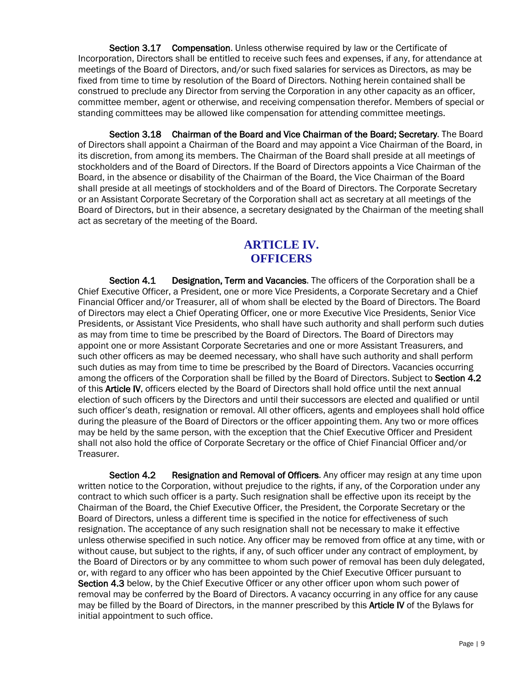Section 3.17 Compensation. Unless otherwise required by law or the Certificate of Incorporation, Directors shall be entitled to receive such fees and expenses, if any, for attendance at meetings of the Board of Directors, and/or such fixed salaries for services as Directors, as may be fixed from time to time by resolution of the Board of Directors. Nothing herein contained shall be construed to preclude any Director from serving the Corporation in any other capacity as an officer, committee member, agent or otherwise, and receiving compensation therefor. Members of special or standing committees may be allowed like compensation for attending committee meetings.

Section 3.18 Chairman of the Board and Vice Chairman of the Board; Secretary. The Board of Directors shall appoint a Chairman of the Board and may appoint a Vice Chairman of the Board, in its discretion, from among its members. The Chairman of the Board shall preside at all meetings of stockholders and of the Board of Directors. If the Board of Directors appoints a Vice Chairman of the Board, in the absence or disability of the Chairman of the Board, the Vice Chairman of the Board shall preside at all meetings of stockholders and of the Board of Directors. The Corporate Secretary or an Assistant Corporate Secretary of the Corporation shall act as secretary at all meetings of the Board of Directors, but in their absence, a secretary designated by the Chairman of the meeting shall act as secretary of the meeting of the Board.

## **ARTICLE IV. OFFICERS**

Section 4.1 Designation, Term and Vacancies. The officers of the Corporation shall be a Chief Executive Officer, a President, one or more Vice Presidents, a Corporate Secretary and a Chief Financial Officer and/or Treasurer, all of whom shall be elected by the Board of Directors. The Board of Directors may elect a Chief Operating Officer, one or more Executive Vice Presidents, Senior Vice Presidents, or Assistant Vice Presidents, who shall have such authority and shall perform such duties as may from time to time be prescribed by the Board of Directors. The Board of Directors may appoint one or more Assistant Corporate Secretaries and one or more Assistant Treasurers, and such other officers as may be deemed necessary, who shall have such authority and shall perform such duties as may from time to time be prescribed by the Board of Directors. Vacancies occurring among the officers of the Corporation shall be filled by the Board of Directors. Subject to Section 4.2 of this **Article IV**, officers elected by the Board of Directors shall hold office until the next annual election of such officers by the Directors and until their successors are elected and qualified or until such officer's death, resignation or removal. All other officers, agents and employees shall hold office during the pleasure of the Board of Directors or the officer appointing them. Any two or more offices may be held by the same person, with the exception that the Chief Executive Officer and President shall not also hold the office of Corporate Secretary or the office of Chief Financial Officer and/or Treasurer.

Section 4.2 Resignation and Removal of Officers. Any officer may resign at any time upon written notice to the Corporation, without prejudice to the rights, if any, of the Corporation under any contract to which such officer is a party. Such resignation shall be effective upon its receipt by the Chairman of the Board, the Chief Executive Officer, the President, the Corporate Secretary or the Board of Directors, unless a different time is specified in the notice for effectiveness of such resignation. The acceptance of any such resignation shall not be necessary to make it effective unless otherwise specified in such notice. Any officer may be removed from office at any time, with or without cause, but subject to the rights, if any, of such officer under any contract of employment, by the Board of Directors or by any committee to whom such power of removal has been duly delegated, or, with regard to any officer who has been appointed by the Chief Executive Officer pursuant to Section 4.3 below, by the Chief Executive Officer or any other officer upon whom such power of removal may be conferred by the Board of Directors. A vacancy occurring in any office for any cause may be filled by the Board of Directors, in the manner prescribed by this **Article IV** of the Bylaws for initial appointment to such office.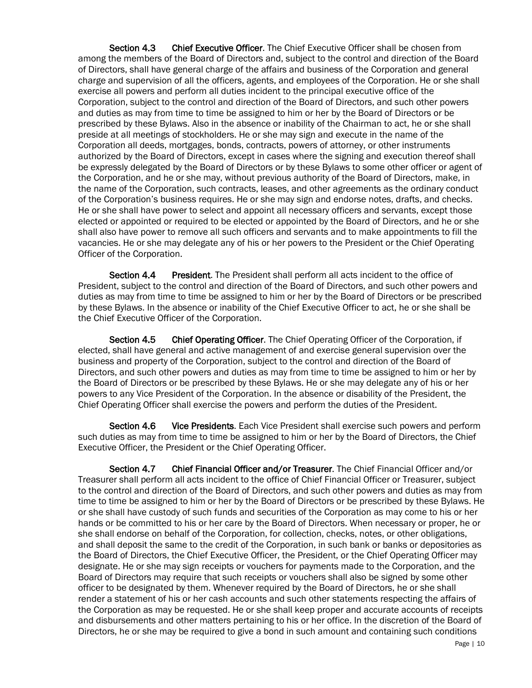Section 4.3 Chief Executive Officer. The Chief Executive Officer shall be chosen from among the members of the Board of Directors and, subject to the control and direction of the Board of Directors, shall have general charge of the affairs and business of the Corporation and general charge and supervision of all the officers, agents, and employees of the Corporation. He or she shall exercise all powers and perform all duties incident to the principal executive office of the Corporation, subject to the control and direction of the Board of Directors, and such other powers and duties as may from time to time be assigned to him or her by the Board of Directors or be prescribed by these Bylaws. Also in the absence or inability of the Chairman to act, he or she shall preside at all meetings of stockholders. He or she may sign and execute in the name of the Corporation all deeds, mortgages, bonds, contracts, powers of attorney, or other instruments authorized by the Board of Directors, except in cases where the signing and execution thereof shall be expressly delegated by the Board of Directors or by these Bylaws to some other officer or agent of the Corporation, and he or she may, without previous authority of the Board of Directors, make, in the name of the Corporation, such contracts, leases, and other agreements as the ordinary conduct of the Corporation's business requires. He or she may sign and endorse notes, drafts, and checks. He or she shall have power to select and appoint all necessary officers and servants, except those elected or appointed or required to be elected or appointed by the Board of Directors, and he or she shall also have power to remove all such officers and servants and to make appointments to fill the vacancies. He or she may delegate any of his or her powers to the President or the Chief Operating Officer of the Corporation.

Section 4.4 President. The President shall perform all acts incident to the office of President, subject to the control and direction of the Board of Directors, and such other powers and duties as may from time to time be assigned to him or her by the Board of Directors or be prescribed by these Bylaws. In the absence or inability of the Chief Executive Officer to act, he or she shall be the Chief Executive Officer of the Corporation.

Section 4.5 Chief Operating Officer. The Chief Operating Officer of the Corporation, if elected, shall have general and active management of and exercise general supervision over the business and property of the Corporation, subject to the control and direction of the Board of Directors, and such other powers and duties as may from time to time be assigned to him or her by the Board of Directors or be prescribed by these Bylaws. He or she may delegate any of his or her powers to any Vice President of the Corporation. In the absence or disability of the President, the Chief Operating Officer shall exercise the powers and perform the duties of the President.

Section 4.6 Vice Presidents. Each Vice President shall exercise such powers and perform such duties as may from time to time be assigned to him or her by the Board of Directors, the Chief Executive Officer, the President or the Chief Operating Officer.

Section 4.7 Chief Financial Officer and/or Treasurer. The Chief Financial Officer and/or Treasurer shall perform all acts incident to the office of Chief Financial Officer or Treasurer, subject to the control and direction of the Board of Directors, and such other powers and duties as may from time to time be assigned to him or her by the Board of Directors or be prescribed by these Bylaws. He or she shall have custody of such funds and securities of the Corporation as may come to his or her hands or be committed to his or her care by the Board of Directors. When necessary or proper, he or she shall endorse on behalf of the Corporation, for collection, checks, notes, or other obligations, and shall deposit the same to the credit of the Corporation, in such bank or banks or depositories as the Board of Directors, the Chief Executive Officer, the President, or the Chief Operating Officer may designate. He or she may sign receipts or vouchers for payments made to the Corporation, and the Board of Directors may require that such receipts or vouchers shall also be signed by some other officer to be designated by them. Whenever required by the Board of Directors, he or she shall render a statement of his or her cash accounts and such other statements respecting the affairs of the Corporation as may be requested. He or she shall keep proper and accurate accounts of receipts and disbursements and other matters pertaining to his or her office. In the discretion of the Board of Directors, he or she may be required to give a bond in such amount and containing such conditions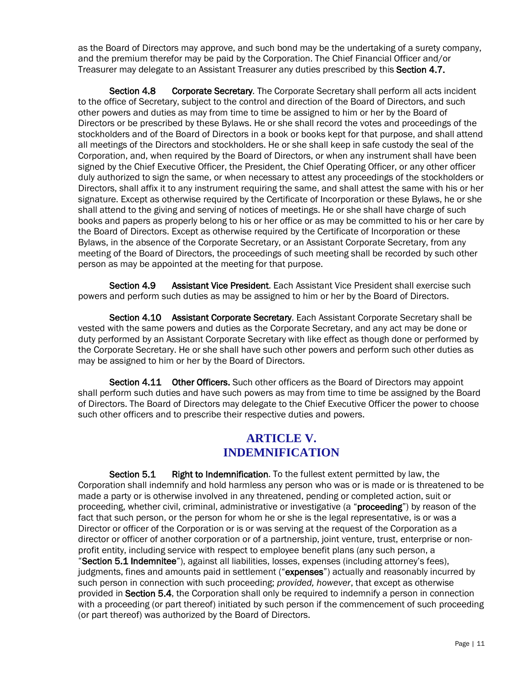as the Board of Directors may approve, and such bond may be the undertaking of a surety company, and the premium therefor may be paid by the Corporation. The Chief Financial Officer and/or Treasurer may delegate to an Assistant Treasurer any duties prescribed by this Section 4.7.

Section 4.8 Corporate Secretary. The Corporate Secretary shall perform all acts incident to the office of Secretary, subject to the control and direction of the Board of Directors, and such other powers and duties as may from time to time be assigned to him or her by the Board of Directors or be prescribed by these Bylaws. He or she shall record the votes and proceedings of the stockholders and of the Board of Directors in a book or books kept for that purpose, and shall attend all meetings of the Directors and stockholders. He or she shall keep in safe custody the seal of the Corporation, and, when required by the Board of Directors, or when any instrument shall have been signed by the Chief Executive Officer, the President, the Chief Operating Officer, or any other officer duly authorized to sign the same, or when necessary to attest any proceedings of the stockholders or Directors, shall affix it to any instrument requiring the same, and shall attest the same with his or her signature. Except as otherwise required by the Certificate of Incorporation or these Bylaws, he or she shall attend to the giving and serving of notices of meetings. He or she shall have charge of such books and papers as properly belong to his or her office or as may be committed to his or her care by the Board of Directors. Except as otherwise required by the Certificate of Incorporation or these Bylaws, in the absence of the Corporate Secretary, or an Assistant Corporate Secretary, from any meeting of the Board of Directors, the proceedings of such meeting shall be recorded by such other person as may be appointed at the meeting for that purpose.

Section 4.9 Assistant Vice President. Each Assistant Vice President shall exercise such powers and perform such duties as may be assigned to him or her by the Board of Directors.

Section 4.10 Assistant Corporate Secretary. Each Assistant Corporate Secretary shall be vested with the same powers and duties as the Corporate Secretary, and any act may be done or duty performed by an Assistant Corporate Secretary with like effect as though done or performed by the Corporate Secretary. He or she shall have such other powers and perform such other duties as may be assigned to him or her by the Board of Directors.

Section 4.11 Other Officers. Such other officers as the Board of Directors may appoint shall perform such duties and have such powers as may from time to time be assigned by the Board of Directors. The Board of Directors may delegate to the Chief Executive Officer the power to choose such other officers and to prescribe their respective duties and powers.

## **ARTICLE V. INDEMNIFICATION**

Section 5.1 Right to Indemnification. To the fullest extent permitted by law, the Corporation shall indemnify and hold harmless any person who was or is made or is threatened to be made a party or is otherwise involved in any threatened, pending or completed action, suit or proceeding, whether civil, criminal, administrative or investigative (a "proceeding") by reason of the fact that such person, or the person for whom he or she is the legal representative, is or was a Director or officer of the Corporation or is or was serving at the request of the Corporation as a director or officer of another corporation or of a partnership, joint venture, trust, enterprise or nonprofit entity, including service with respect to employee benefit plans (any such person, a

"Section 5.1 Indemnitee"), against all liabilities, losses, expenses (including attorney's fees), judgments, fines and amounts paid in settlement ("expenses") actually and reasonably incurred by such person in connection with such proceeding; *provided, however*, that except as otherwise provided in Section 5.4, the Corporation shall only be required to indemnify a person in connection with a proceeding (or part thereof) initiated by such person if the commencement of such proceeding (or part thereof) was authorized by the Board of Directors.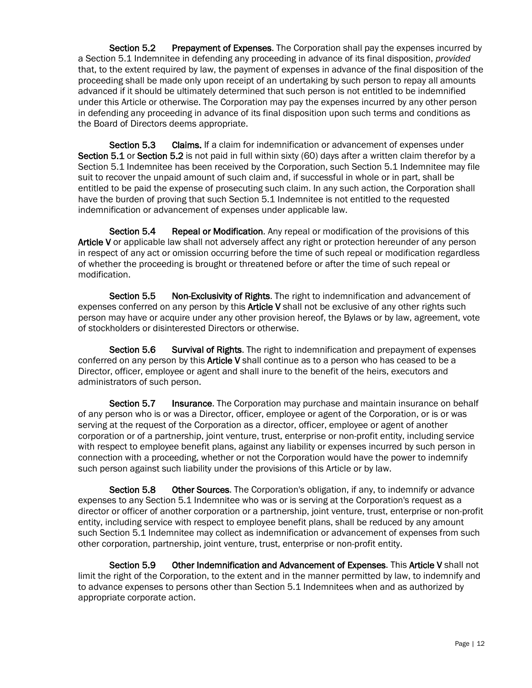Section 5.2 Prepayment of Expenses. The Corporation shall pay the expenses incurred by a Section 5.1 Indemnitee in defending any proceeding in advance of its final disposition, *provided*  that, to the extent required by law, the payment of expenses in advance of the final disposition of the proceeding shall be made only upon receipt of an undertaking by such person to repay all amounts advanced if it should be ultimately determined that such person is not entitled to be indemnified under this Article or otherwise. The Corporation may pay the expenses incurred by any other person in defending any proceeding in advance of its final disposition upon such terms and conditions as the Board of Directors deems appropriate.

Section 5.3 Claims. If a claim for indemnification or advancement of expenses under Section 5.1 or Section 5.2 is not paid in full within sixty (60) days after a written claim therefor by a Section 5.1 Indemnitee has been received by the Corporation, such Section 5.1 Indemnitee may file suit to recover the unpaid amount of such claim and, if successful in whole or in part, shall be entitled to be paid the expense of prosecuting such claim. In any such action, the Corporation shall have the burden of proving that such Section 5.1 Indemnitee is not entitled to the requested indemnification or advancement of expenses under applicable law.

Section 5.4 Repeal or Modification. Any repeal or modification of the provisions of this Article V or applicable law shall not adversely affect any right or protection hereunder of any person in respect of any act or omission occurring before the time of such repeal or modification regardless of whether the proceeding is brought or threatened before or after the time of such repeal or modification.

Section 5.5 Non-Exclusivity of Rights. The right to indemnification and advancement of expenses conferred on any person by this **Article V** shall not be exclusive of any other rights such person may have or acquire under any other provision hereof, the Bylaws or by law, agreement, vote of stockholders or disinterested Directors or otherwise.

Section 5.6 Survival of Rights. The right to indemnification and prepayment of expenses conferred on any person by this **Article V** shall continue as to a person who has ceased to be a Director, officer, employee or agent and shall inure to the benefit of the heirs, executors and administrators of such person.

Section 5.7 Insurance. The Corporation may purchase and maintain insurance on behalf of any person who is or was a Director, officer, employee or agent of the Corporation, or is or was serving at the request of the Corporation as a director, officer, employee or agent of another corporation or of a partnership, joint venture, trust, enterprise or non-profit entity, including service with respect to employee benefit plans, against any liability or expenses incurred by such person in connection with a proceeding, whether or not the Corporation would have the power to indemnify such person against such liability under the provisions of this Article or by law.

Section 5.8 Other Sources. The Corporation's obligation, if any, to indemnify or advance expenses to any Section 5.1 Indemnitee who was or is serving at the Corporation's request as a director or officer of another corporation or a partnership, joint venture, trust, enterprise or non-profit entity, including service with respect to employee benefit plans, shall be reduced by any amount such Section 5.1 Indemnitee may collect as indemnification or advancement of expenses from such other corporation, partnership, joint venture, trust, enterprise or non-profit entity.

Section 5.9 Other Indemnification and Advancement of Expenses. This Article V shall not limit the right of the Corporation, to the extent and in the manner permitted by law, to indemnify and to advance expenses to persons other than Section 5.1 Indemnitees when and as authorized by appropriate corporate action.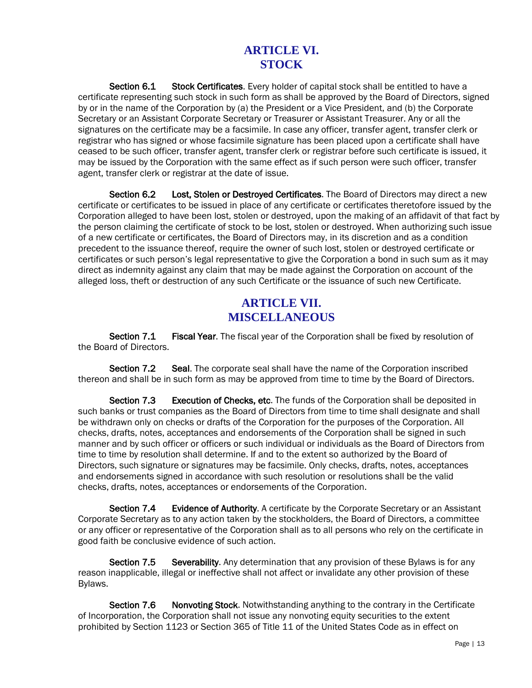## **ARTICLE VI. STOCK**

Section 6.1 Stock Certificates. Every holder of capital stock shall be entitled to have a certificate representing such stock in such form as shall be approved by the Board of Directors, signed by or in the name of the Corporation by (a) the President or a Vice President, and (b) the Corporate Secretary or an Assistant Corporate Secretary or Treasurer or Assistant Treasurer. Any or all the signatures on the certificate may be a facsimile. In case any officer, transfer agent, transfer clerk or registrar who has signed or whose facsimile signature has been placed upon a certificate shall have ceased to be such officer, transfer agent, transfer clerk or registrar before such certificate is issued, it may be issued by the Corporation with the same effect as if such person were such officer, transfer agent, transfer clerk or registrar at the date of issue.

Section 6.2 Lost, Stolen or Destroyed Certificates. The Board of Directors may direct a new certificate or certificates to be issued in place of any certificate or certificates theretofore issued by the Corporation alleged to have been lost, stolen or destroyed, upon the making of an affidavit of that fact by the person claiming the certificate of stock to be lost, stolen or destroyed. When authorizing such issue of a new certificate or certificates, the Board of Directors may, in its discretion and as a condition precedent to the issuance thereof, require the owner of such lost, stolen or destroyed certificate or certificates or such person's legal representative to give the Corporation a bond in such sum as it may direct as indemnity against any claim that may be made against the Corporation on account of the alleged loss, theft or destruction of any such Certificate or the issuance of such new Certificate.

## **ARTICLE VII. MISCELLANEOUS**

Section 7.1 Fiscal Year. The fiscal year of the Corporation shall be fixed by resolution of the Board of Directors.

Section 7.2 Seal. The corporate seal shall have the name of the Corporation inscribed thereon and shall be in such form as may be approved from time to time by the Board of Directors.

Section 7.3 Execution of Checks, etc. The funds of the Corporation shall be deposited in such banks or trust companies as the Board of Directors from time to time shall designate and shall be withdrawn only on checks or drafts of the Corporation for the purposes of the Corporation. All checks, drafts, notes, acceptances and endorsements of the Corporation shall be signed in such manner and by such officer or officers or such individual or individuals as the Board of Directors from time to time by resolution shall determine. If and to the extent so authorized by the Board of Directors, such signature or signatures may be facsimile. Only checks, drafts, notes, acceptances and endorsements signed in accordance with such resolution or resolutions shall be the valid checks, drafts, notes, acceptances or endorsements of the Corporation.

Section 7.4 Evidence of Authority. A certificate by the Corporate Secretary or an Assistant Corporate Secretary as to any action taken by the stockholders, the Board of Directors, a committee or any officer or representative of the Corporation shall as to all persons who rely on the certificate in good faith be conclusive evidence of such action.

Section 7.5 Severability. Any determination that any provision of these Bylaws is for any reason inapplicable, illegal or ineffective shall not affect or invalidate any other provision of these Bylaws.

Section 7.6 Nonvoting Stock. Notwithstanding anything to the contrary in the Certificate of Incorporation, the Corporation shall not issue any nonvoting equity securities to the extent prohibited by Section 1123 or Section 365 of Title 11 of the United States Code as in effect on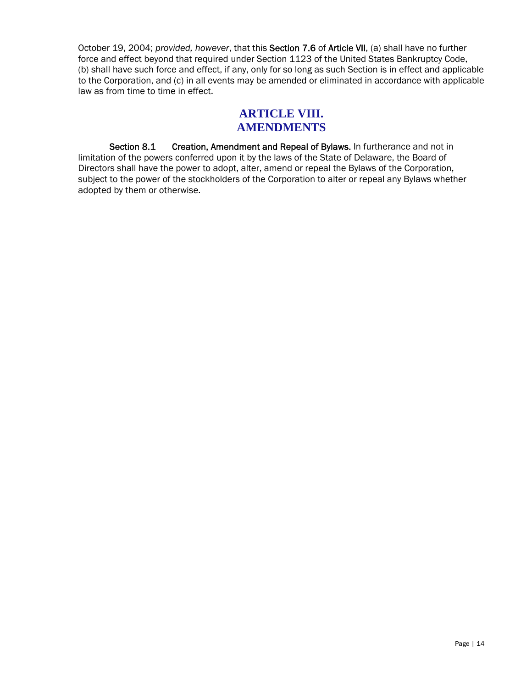October 19, 2004; *provided, however*, that this Section 7.6 of Article VII, (a) shall have no further force and effect beyond that required under Section 1123 of the United States Bankruptcy Code, (b) shall have such force and effect, if any, only for so long as such Section is in effect and applicable to the Corporation, and (c) in all events may be amended or eliminated in accordance with applicable law as from time to time in effect.

#### **ARTICLE VIII. AMENDMENTS**

Section 8.1 Creation, Amendment and Repeal of Bylaws. In furtherance and not in limitation of the powers conferred upon it by the laws of the State of Delaware, the Board of Directors shall have the power to adopt, alter, amend or repeal the Bylaws of the Corporation, subject to the power of the stockholders of the Corporation to alter or repeal any Bylaws whether adopted by them or otherwise.